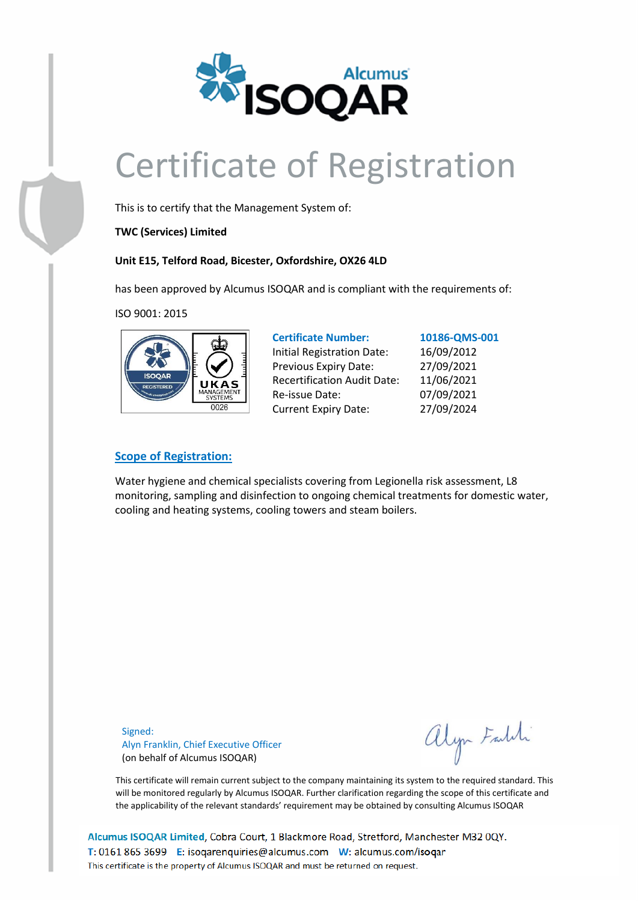

# Certificate of Registration

This is to certify that the Management System of:

**TWC (Services) Limited**

#### **Unit E15, Telford Road, Bicester, Oxfordshire, OX26 4LD**

has been approved by Alcumus ISOQAR and is compliant with the requirements of:

ISO 9001: 2015



| <b>Certificate Number:</b>         | 10186-QMS-001 |  |
|------------------------------------|---------------|--|
| <b>Initial Registration Date:</b>  | 16/09/2012    |  |
| Previous Expiry Date:              | 27/09/2021    |  |
| <b>Recertification Audit Date:</b> | 11/06/2021    |  |
| Re-issue Date:                     | 07/09/2021    |  |
| <b>Current Expiry Date:</b>        | 27/09/2024    |  |

#### **Scope of Registration:**

Water hygiene and chemical specialists covering from Legionella risk assessment, L8 monitoring, sampling and disinfection to ongoing chemical treatments for domestic water, cooling and heating systems, cooling towers and steam boilers.

Signed: Alyn Franklin, Chief Executive Officer (on behalf of Alcumus ISOQAR)

alyn Faldi

This certificate will remain current subject to the company maintaining its system to the required standard. This will be monitored regularly by Alcumus ISOQAR. Further clarification regarding the scope of this certificate and the applicability of the relevant standards' requirement may be obtained by consulting Alcumus ISOQAR

Alcumus ISOQAR Limited, Cobra Court, 1 Blackmore Road, Stretford, Manchester M32 0QY. T: 0161 865 3699 E: isogarenguiries@alcumus.com W: alcumus.com/isogar This certificate is the property of Alcumus ISOQAR and must be returned on request.